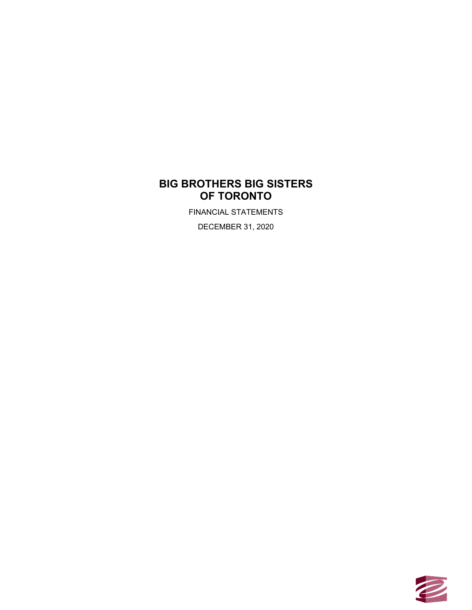FINANCIAL STATEMENTS

DECEMBER 31, 2020

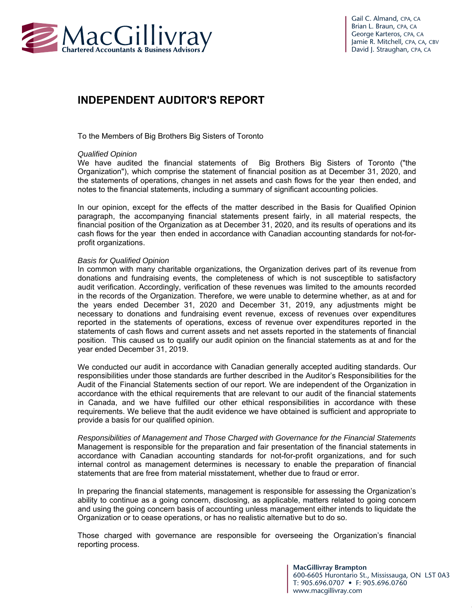

Gail C. Almand, CPA, CA Brian L. Braun, CPA, CA George Karteros, CPA, CA Jamie R. Mitchell, CPA, CA, CBV David J. Straughan, CPA, CA

## **INDEPENDENT AUDITOR'S REPORT**

To the Members of Big Brothers Big Sisters of Toronto

#### *Qualified Opinion*

We have audited the financial statements of Big Brothers Big Sisters of Toronto ("the Organization"), which comprise the statement of financial position as at December 31, 2020, and the statements of operations, changes in net assets and cash flows for the year then ended, and notes to the financial statements, including a summary of significant accounting policies.

In our opinion, except for the effects of the matter described in the Basis for Qualified Opinion paragraph, the accompanying financial statements present fairly, in all material respects, the financial position of the Organization as at December 31, 2020, and its results of operations and its cash flows for the year then ended in accordance with Canadian accounting standards for not-forprofit organizations.

#### *Basis for Qualified Opinion*

In common with many charitable organizations, the Organization derives part of its revenue from donations and fundraising events, the completeness of which is not susceptible to satisfactory audit verification. Accordingly, verification of these revenues was limited to the amounts recorded in the records of the Organization. Therefore, we were unable to determine whether, as at and for the years ended December 31, 2020 and December 31, 2019, any adjustments might be necessary to donations and fundraising event revenue, excess of revenues over expenditures reported in the statements of operations, excess of revenue over expenditures reported in the statements of cash flows and current assets and net assets reported in the statements of financial position. This caused us to qualify our audit opinion on the financial statements as at and for the year ended December 31, 2019.

We conducted our audit in accordance with Canadian generally accepted auditing standards. Our responsibilities under those standards are further described in the Auditor's Responsibilities for the Audit of the Financial Statements section of our report. We are independent of the Organization in accordance with the ethical requirements that are relevant to our audit of the financial statements in Canada, and we have fulfilled our other ethical responsibilities in accordance with these requirements. We believe that the audit evidence we have obtained is sufficient and appropriate to provide a basis for our qualified opinion.

*Responsibilities of Management and Those Charged with Governance for the Financial Statements* Management is responsible for the preparation and fair presentation of the financial statements in accordance with Canadian accounting standards for not-for-profit organizations, and for such internal control as management determines is necessary to enable the preparation of financial statements that are free from material misstatement, whether due to fraud or error.

In preparing the financial statements, management is responsible for assessing the Organization's ability to continue as a going concern, disclosing, as applicable, matters related to going concern and using the going concern basis of accounting unless management either intends to liquidate the Organization or to cease operations, or has no realistic alternative but to do so.

Those charged with governance are responsible for overseeing the Organization's financial reporting process.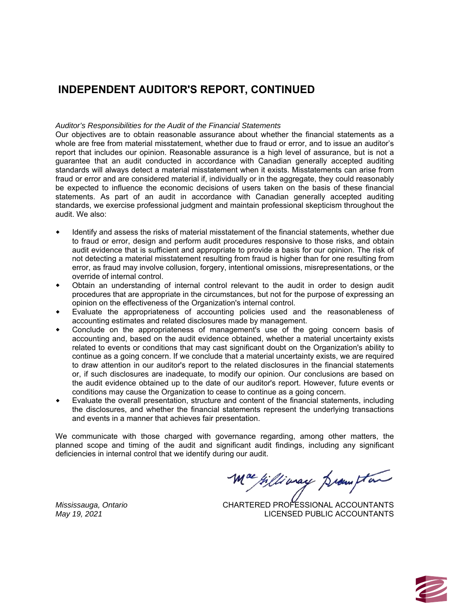# **INDEPENDENT AUDITOR'S REPORT, CONTINUED**

## *Auditor's Responsibilities for the Audit of the Financial Statements*

Our objectives are to obtain reasonable assurance about whether the financial statements as a whole are free from material misstatement, whether due to fraud or error, and to issue an auditor's report that includes our opinion. Reasonable assurance is a high level of assurance, but is not a guarantee that an audit conducted in accordance with Canadian generally accepted auditing standards will always detect a material misstatement when it exists. Misstatements can arise from fraud or error and are considered material if, individually or in the aggregate, they could reasonably be expected to influence the economic decisions of users taken on the basis of these financial statements. As part of an audit in accordance with Canadian generally accepted auditing standards, we exercise professional judgment and maintain professional skepticism throughout the audit. We also:

- Identify and assess the risks of material misstatement of the financial statements, whether due to fraud or error, design and perform audit procedures responsive to those risks, and obtain audit evidence that is sufficient and appropriate to provide a basis for our opinion. The risk of not detecting a material misstatement resulting from fraud is higher than for one resulting from error, as fraud may involve collusion, forgery, intentional omissions, misrepresentations, or the override of internal control.
- Obtain an understanding of internal control relevant to the audit in order to design audit procedures that are appropriate in the circumstances, but not for the purpose of expressing an opinion on the effectiveness of the Organization's internal control.
- Evaluate the appropriateness of accounting policies used and the reasonableness of accounting estimates and related disclosures made by management.
- Conclude on the appropriateness of management's use of the going concern basis of accounting and, based on the audit evidence obtained, whether a material uncertainty exists related to events or conditions that may cast significant doubt on the Organization's ability to continue as a going concern. If we conclude that a material uncertainty exists, we are required to draw attention in our auditor's report to the related disclosures in the financial statements or, if such disclosures are inadequate, to modify our opinion. Our conclusions are based on the audit evidence obtained up to the date of our auditor's report. However, future events or conditions may cause the Organization to cease to continue as a going concern.
- Evaluate the overall presentation, structure and content of the financial statements, including the disclosures, and whether the financial statements represent the underlying transactions and events in a manner that achieves fair presentation.

We communicate with those charged with governance regarding, among other matters, the planned scope and timing of the audit and significant audit findings, including any significant deficiencies in internal control that we identify during our audit.

a fillionary promptan

CHARTERED PROFESSIONAL ACCOUNTANTS LICENSED PUBLIC ACCOUNTANTS

*Mississauga, Ontario May 19, 2021*

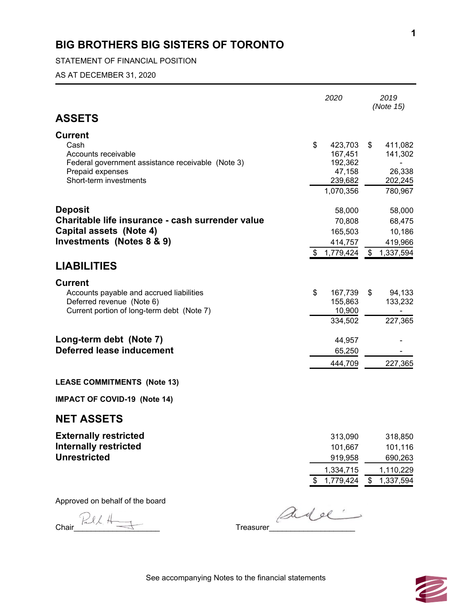STATEMENT OF FINANCIAL POSITION

AS AT DECEMBER 31, 2020

|                                                                                                                                                  |     | 2020                                                    | 2019<br>(Note 15)                                             |
|--------------------------------------------------------------------------------------------------------------------------------------------------|-----|---------------------------------------------------------|---------------------------------------------------------------|
| <b>ASSETS</b>                                                                                                                                    |     |                                                         |                                                               |
| <b>Current</b><br>Cash<br>Accounts receivable<br>Federal government assistance receivable (Note 3)<br>Prepaid expenses<br>Short-term investments | \$  | 423,703<br>167,451<br>192,362<br>47,158<br>239,682      | \$<br>411,082<br>141,302<br>26,338<br>202,245                 |
|                                                                                                                                                  |     | 1,070,356                                               | 780,967                                                       |
| <b>Deposit</b><br>Charitable life insurance - cash surrender value<br>Capital assets (Note 4)<br>Investments (Notes 8 & 9)                       | SS. | 58,000<br>70,808<br>165,503<br>414,757<br>1,779,424     | 58,000<br>68,475<br>10,186<br>419,966<br>\$ 1,337,594         |
| <b>LIABILITIES</b>                                                                                                                               |     |                                                         |                                                               |
| <b>Current</b><br>Accounts payable and accrued liabilities<br>Deferred revenue (Note 6)<br>Current portion of long-term debt (Note 7)            | \$  | 167,739<br>155,863<br>10,900<br>334,502                 | \$<br>94,133<br>133,232<br>227,365                            |
| Long-term debt (Note 7)<br><b>Deferred lease inducement</b>                                                                                      |     | 44,957<br>65,250<br>444,709                             | 227,365                                                       |
| <b>LEASE COMMITMENTS (Note 13)</b>                                                                                                               |     |                                                         |                                                               |
| <b>IMPACT OF COVID-19 (Note 14)</b>                                                                                                              |     |                                                         |                                                               |
| <b>NET ASSETS</b>                                                                                                                                |     |                                                         |                                                               |
| <b>Externally restricted</b><br><b>Internally restricted</b><br><b>Unrestricted</b>                                                              | \$  | 313,090<br>101,667<br>919,958<br>1,334,715<br>1,779,424 | \$<br>318,850<br>101,116<br>690,263<br>1,110,229<br>1,337,594 |
| Approved on behalf of the board                                                                                                                  |     |                                                         |                                                               |
|                                                                                                                                                  |     |                                                         |                                                               |

 $Char$  $\overbrace{LLLH}$  Treasurer\_

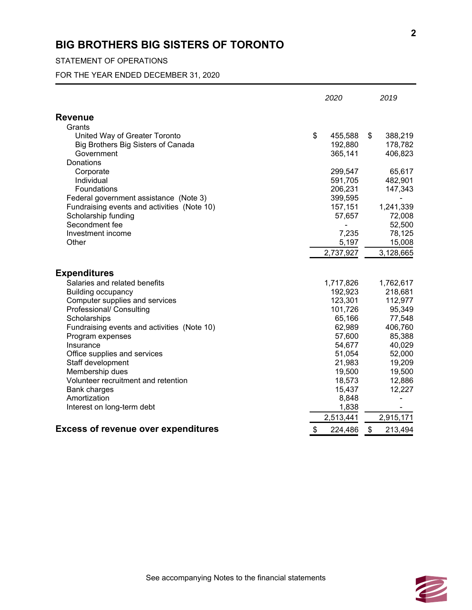## STATEMENT OF OPERATIONS

FOR THE YEAR ENDED DECEMBER 31, 2020

|                                             |               | 2020      |               | 2019      |
|---------------------------------------------|---------------|-----------|---------------|-----------|
| <b>Revenue</b>                              |               |           |               |           |
| Grants                                      |               |           |               |           |
| United Way of Greater Toronto               | \$            | 455,588   | \$            | 388,219   |
| Big Brothers Big Sisters of Canada          |               | 192,880   |               | 178,782   |
| Government                                  |               | 365,141   |               | 406,823   |
| Donations                                   |               |           |               |           |
| Corporate                                   |               | 299,547   |               | 65,617    |
| Individual                                  |               | 591,705   |               | 482,901   |
| Foundations                                 |               | 206,231   |               | 147,343   |
| Federal government assistance (Note 3)      |               | 399,595   |               |           |
| Fundraising events and activities (Note 10) |               | 157,151   |               | 1,241,339 |
| Scholarship funding                         |               | 57,657    |               | 72,008    |
| Secondment fee                              |               |           |               | 52,500    |
| Investment income                           |               | 7,235     |               | 78,125    |
| Other                                       |               | 5,197     |               | 15,008    |
|                                             |               | 2,737,927 |               | 3,128,665 |
| <b>Expenditures</b>                         |               |           |               |           |
| Salaries and related benefits               |               | 1,717,826 |               | 1,762,617 |
| <b>Building occupancy</b>                   |               | 192,923   |               | 218,681   |
| Computer supplies and services              |               | 123,301   |               | 112,977   |
| Professional/ Consulting                    |               | 101,726   |               | 95,349    |
| Scholarships                                |               | 65,166    |               | 77,548    |
| Fundraising events and activities (Note 10) |               | 62,989    |               | 406,760   |
| Program expenses                            |               | 57,600    |               | 85,388    |
| Insurance                                   |               | 54,677    |               | 40,029    |
| Office supplies and services                |               | 51,054    |               | 52,000    |
| Staff development                           |               | 21,983    |               | 19,209    |
| Membership dues                             |               | 19,500    |               | 19,500    |
| Volunteer recruitment and retention         |               | 18,573    |               | 12,886    |
| Bank charges                                |               | 15,437    |               | 12,227    |
| Amortization                                |               | 8,848     |               |           |
| Interest on long-term debt                  |               | 1,838     |               |           |
|                                             |               | 2,513,441 |               | 2,915,171 |
| <b>Excess of revenue over expenditures</b>  | $\sqrt[6]{2}$ | 224,486   | $\sqrt[6]{2}$ | 213,494   |

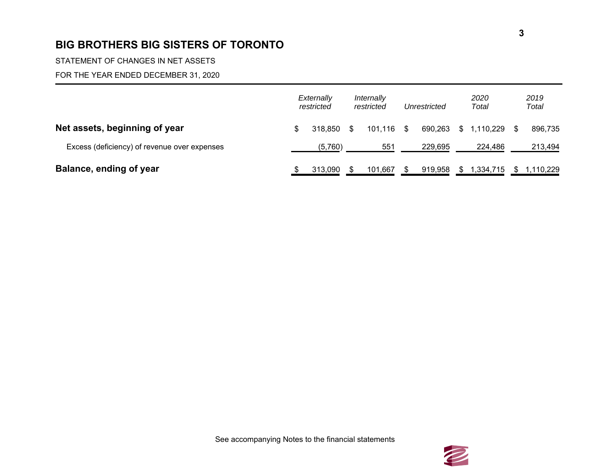STATEMENT OF CHANGES IN NET ASSETS

## FOR THE YEAR ENDED DECEMBER 31, 2020

|                                              |     | Externally<br>restricted |     | Internally<br>restricted |  | Unrestricted |  | 2020<br>Total |     | 2019<br>Total |
|----------------------------------------------|-----|--------------------------|-----|--------------------------|--|--------------|--|---------------|-----|---------------|
| Net assets, beginning of year                | \$. | 318.850                  | \$. | 101,116 \$               |  | 690,263      |  | \$1,110,229   | \$. | 896,735       |
| Excess (deficiency) of revenue over expenses |     | (5,760)                  |     | 551                      |  | 229,695      |  | 224,486       |     | 213,494       |
| <b>Balance, ending of year</b>               |     | 313,090                  |     | 101,667                  |  | 919,958      |  | 1,334,715     |     | 1,110,229     |

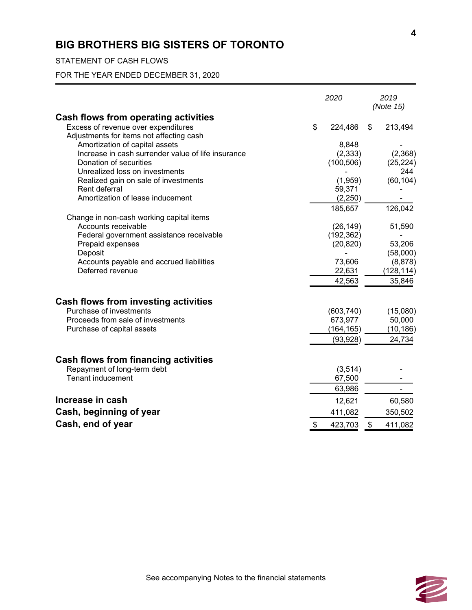## STATEMENT OF CASH FLOWS

FOR THE YEAR ENDED DECEMBER 31, 2020

|                                                     | 2020          | 2019<br>(Note 15)    |
|-----------------------------------------------------|---------------|----------------------|
| Cash flows from operating activities                |               |                      |
| Excess of revenue over expenditures                 | \$<br>224,486 | \$<br>213,494        |
| Adjustments for items not affecting cash            |               |                      |
| Amortization of capital assets                      | 8,848         |                      |
| Increase in cash surrender value of life insurance  | (2, 333)      | (2,368)              |
| Donation of securities                              | (100, 506)    | (25, 224)            |
| Unrealized loss on investments                      |               | 244                  |
| Realized gain on sale of investments                | (1,959)       | (60, 104)            |
| Rent deferral                                       | 59,371        |                      |
| Amortization of lease inducement                    | (2,250)       |                      |
|                                                     | 185,657       | 126,042              |
| Change in non-cash working capital items            |               |                      |
| Accounts receivable                                 | (26, 149)     | 51,590               |
| Federal government assistance receivable            | (192, 362)    |                      |
| Prepaid expenses                                    | (20, 820)     | 53,206               |
| Deposit<br>Accounts payable and accrued liabilities | 73,606        | (58,000)<br>(8, 878) |
| Deferred revenue                                    | 22,631        | (128, 114)           |
|                                                     | 42,563        | 35,846               |
|                                                     |               |                      |
| <b>Cash flows from investing activities</b>         |               |                      |
| Purchase of investments                             | (603, 740)    | (15,080)             |
| Proceeds from sale of investments                   | 673,977       | 50,000               |
| Purchase of capital assets                          | (164, 165)    | (10, 186)            |
|                                                     | (93, 928)     | 24,734               |
| <b>Cash flows from financing activities</b>         |               |                      |
| Repayment of long-term debt                         | (3,514)       |                      |
| Tenant inducement                                   | 67,500        |                      |
|                                                     | 63,986        |                      |
|                                                     |               |                      |
| Increase in cash                                    | 12,621        | 60,580               |
| Cash, beginning of year                             | 411,082       | 350,502              |
| Cash, end of year                                   | \$<br>423,703 | \$<br>411,082        |

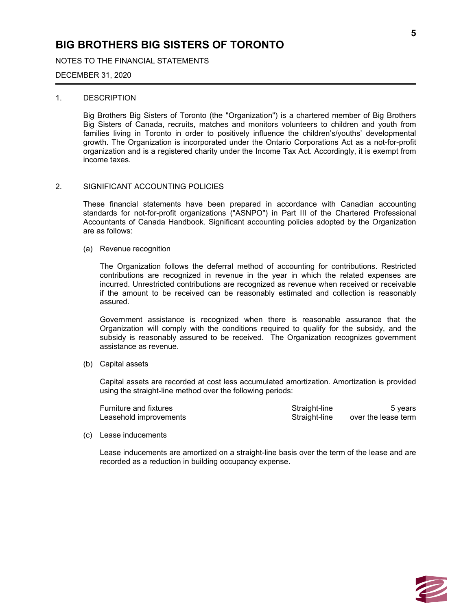NOTES TO THE FINANCIAL STATEMENTS

## DECEMBER 31, 2020

## 1. DESCRIPTION

Big Brothers Big Sisters of Toronto (the "Organization") is a chartered member of Big Brothers Big Sisters of Canada, recruits, matches and monitors volunteers to children and youth from families living in Toronto in order to positively influence the children's/youths' developmental growth. The Organization is incorporated under the Ontario Corporations Act as a not-for-profit organization and is a registered charity under the Income Tax Act. Accordingly, it is exempt from income taxes.

### 2. SIGNIFICANT ACCOUNTING POLICIES

These financial statements have been prepared in accordance with Canadian accounting standards for not-for-profit organizations ("ASNPO") in Part III of the Chartered Professional Accountants of Canada Handbook. Significant accounting policies adopted by the Organization are as follows:

(a) Revenue recognition

The Organization follows the deferral method of accounting for contributions. Restricted contributions are recognized in revenue in the year in which the related expenses are incurred. Unrestricted contributions are recognized as revenue when received or receivable if the amount to be received can be reasonably estimated and collection is reasonably assured.

Government assistance is recognized when there is reasonable assurance that the Organization will comply with the conditions required to qualify for the subsidy, and the subsidy is reasonably assured to be received. The Organization recognizes government assistance as revenue.

(b) Capital assets

Capital assets are recorded at cost less accumulated amortization. Amortization is provided using the straight-line method over the following periods:

| Furniture and fixtures | Straight-line | 5 years             |
|------------------------|---------------|---------------------|
| Leasehold improvements | Straight-line | over the lease term |

#### (c) Lease inducements

Lease inducements are amortized on a straight-line basis over the term of the lease and are recorded as a reduction in building occupancy expense.

**5**

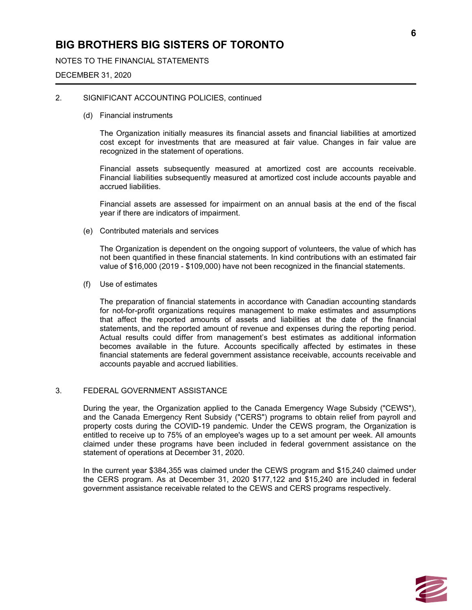## NOTES TO THE FINANCIAL STATEMENTS

## DECEMBER 31, 2020

## 2. SIGNIFICANT ACCOUNTING POLICIES, continued

(d) Financial instruments

The Organization initially measures its financial assets and financial liabilities at amortized cost except for investments that are measured at fair value. Changes in fair value are recognized in the statement of operations.

Financial assets subsequently measured at amortized cost are accounts receivable. Financial liabilities subsequently measured at amortized cost include accounts payable and accrued liabilities.

Financial assets are assessed for impairment on an annual basis at the end of the fiscal year if there are indicators of impairment.

(e) Contributed materials and services

The Organization is dependent on the ongoing support of volunteers, the value of which has not been quantified in these financial statements. In kind contributions with an estimated fair value of \$16,000 (2019 - \$109,000) have not been recognized in the financial statements.

(f) Use of estimates

The preparation of financial statements in accordance with Canadian accounting standards for not-for-profit organizations requires management to make estimates and assumptions that affect the reported amounts of assets and liabilities at the date of the financial statements, and the reported amount of revenue and expenses during the reporting period. Actual results could differ from management's best estimates as additional information becomes available in the future. Accounts specifically affected by estimates in these financial statements are federal government assistance receivable, accounts receivable and accounts payable and accrued liabilities.

### 3. FEDERAL GOVERNMENT ASSISTANCE

During the year, the Organization applied to the Canada Emergency Wage Subsidy ("CEWS"), and the Canada Emergency Rent Subsidy ("CERS") programs to obtain relief from payroll and property costs during the COVID-19 pandemic. Under the CEWS program, the Organization is entitled to receive up to 75% of an employee's wages up to a set amount per week. All amounts claimed under these programs have been included in federal government assistance on the statement of operations at December 31, 2020.

In the current year \$384,355 was claimed under the CEWS program and \$15,240 claimed under the CERS program. As at December 31, 2020 \$177,122 and \$15,240 are included in federal government assistance receivable related to the CEWS and CERS programs respectively.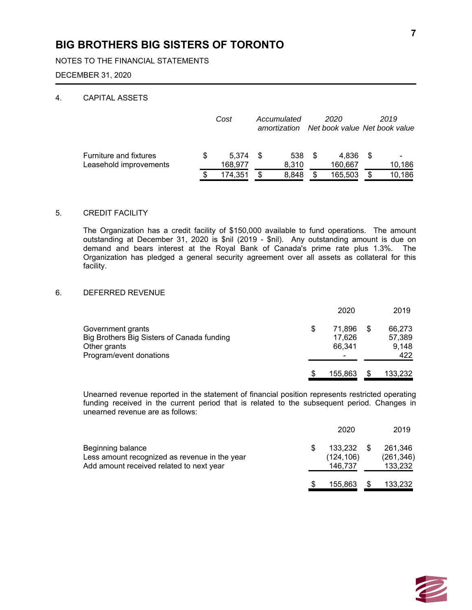NOTES TO THE FINANCIAL STATEMENTS

### DECEMBER 31, 2020

## 4. CAPITAL ASSETS

|                                                         | Cost             | Accumulated<br>amortization |              |   | 2020<br>Net book value Net book value | 2019        |
|---------------------------------------------------------|------------------|-----------------------------|--------------|---|---------------------------------------|-------------|
| <b>Furniture and fixtures</b><br>Leasehold improvements | 5.374<br>168,977 | \$.                         | 538<br>8.310 | S | 4.836<br>160,667                      | -<br>10,186 |
|                                                         | 174.351          | S                           | 8.848        |   | 165.503                               | 10,186      |

## 5. CREDIT FACILITY

The Organization has a credit facility of \$150,000 available to fund operations. The amount outstanding at December 31, 2020 is \$nil (2019 - \$nil). Any outstanding amount is due on demand and bears interest at the Royal Bank of Canada's prime rate plus 1.3%. The Organization has pledged a general security agreement over all assets as collateral for this facility.

## 6. DEFERRED REVENUE

|                                            |   | 2020    |   | 2019    |
|--------------------------------------------|---|---------|---|---------|
| Government grants                          | S | 71.896  | S | 66.273  |
| Big Brothers Big Sisters of Canada funding |   | 17,626  |   | 57,389  |
| Other grants                               |   | 66,341  |   | 9,148   |
| Program/event donations                    |   |         |   | 422     |
|                                            | S | 155,863 |   | 133,232 |

Unearned revenue reported in the statement of financial position represents restricted operating funding received in the current period that is related to the subsequent period. Changes in unearned revenue are as follows:

|                                                                                                                | 2020                             | 2019                             |
|----------------------------------------------------------------------------------------------------------------|----------------------------------|----------------------------------|
| Beginning balance<br>Less amount recognized as revenue in the year<br>Add amount received related to next year | 133.232<br>(124, 106)<br>146.737 | 261.346<br>(261, 346)<br>133,232 |
|                                                                                                                | 155.863                          | 133,232                          |

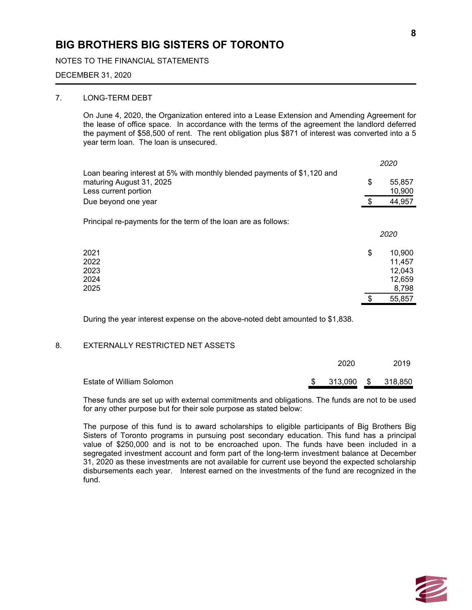NOTES TO THE FINANCIAL STATEMENTS

#### DECEMBER 31, 2020

## 7. LONG-TERM DEBT

On June 4, 2020, the Organization entered into a Lease Extension and Amending Agreement for the lease of office space. In accordance with the terms of the agreement the landlord deferred the payment of \$58,500 of rent. The rent obligation plus \$871 of interest was converted into a 5 year term loan. The loan is unsecured.

|                                                                                                                                                     |          | 2020                                          |
|-----------------------------------------------------------------------------------------------------------------------------------------------------|----------|-----------------------------------------------|
| Loan bearing interest at 5% with monthly blended payments of \$1,120 and<br>maturing August 31, 2025<br>Less current portion<br>Due beyond one year | \$<br>\$ | 55,857<br>10,900<br>44,957                    |
| Principal re-payments for the term of the loan are as follows:                                                                                      |          |                                               |
|                                                                                                                                                     |          | 2020                                          |
| 2021<br>2022<br>2023<br>2024<br>2025                                                                                                                | \$       | 10,900<br>11,457<br>12,043<br>12,659<br>8,798 |
|                                                                                                                                                     |          | 55,857                                        |
| During the year interest expense on the above-noted debt amounted to \$1,838.                                                                       |          |                                               |

## 8. EXTERNALLY RESTRICTED NET ASSETS

|                           | 2020 | 2019               |
|---------------------------|------|--------------------|
| Estate of William Solomon |      | 313,090 \$ 318,850 |

These funds are set up with external commitments and obligations. The funds are not to be used for any other purpose but for their sole purpose as stated below:

The purpose of this fund is to award scholarships to eligible participants of Big Brothers Big Sisters of Toronto programs in pursuing post secondary education. This fund has a principal value of \$250,000 and is not to be encroached upon. The funds have been included in a segregated investment account and form part of the long-term investment balance at December 31, 2020 as these investments are not available for current use beyond the expected scholarship disbursements each year. Interest earned on the investments of the fund are recognized in the fund.



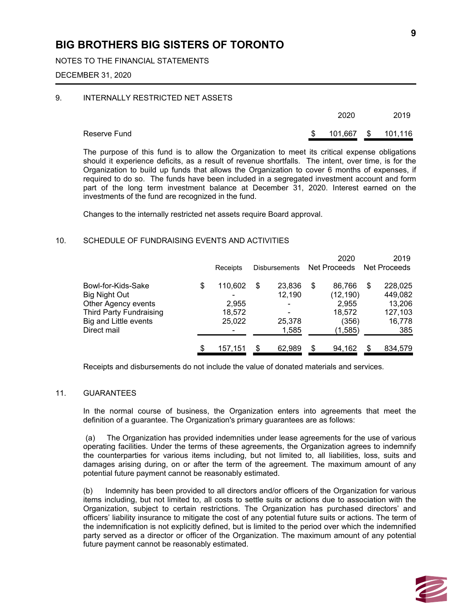## NOTES TO THE FINANCIAL STATEMENTS

#### DECEMBER 31, 2020

## 9. INTERNALLY RESTRICTED NET ASSETS

|              | 2020       | 2019    |
|--------------|------------|---------|
| Reserve Fund | 101,667 \$ | 101,116 |

The purpose of this fund is to allow the Organization to meet its critical expense obligations should it experience deficits, as a result of revenue shortfalls. The intent, over time, is for the Organization to build up funds that allows the Organization to cover 6 months of expenses, if required to do so. The funds have been included in a segregated investment account and form part of the long term investment balance at December 31, 2020. Interest earned on the investments of the fund are recognized in the fund.

Changes to the internally restricted net assets require Board approval.

## 10. SCHEDULE OF FUNDRAISING EVENTS AND ACTIVITIES

|                                                                                                                                      | Receipts                                   |    | <b>Disbursements</b>                                                 | 2020<br>Net Proceeds                                             |   | 2019<br><b>Net Proceeds</b>                              |
|--------------------------------------------------------------------------------------------------------------------------------------|--------------------------------------------|----|----------------------------------------------------------------------|------------------------------------------------------------------|---|----------------------------------------------------------|
| Bowl-for-Kids-Sake<br><b>Big Night Out</b><br>Other Agency events<br>Third Party Fundraising<br>Big and Little events<br>Direct mail | \$<br>110,602<br>2,955<br>18,572<br>25,022 | \$ | 23,836<br>12,190<br>$\overline{\phantom{0}}$<br>٠<br>25,378<br>1,585 | \$<br>86,766<br>(12, 190)<br>2,955<br>18,572<br>(356)<br>(1,585) | S | 228,025<br>449,082<br>13,206<br>127,103<br>16,778<br>385 |
|                                                                                                                                      | \$<br>157,151                              | S  | 62,989                                                               | \$<br>94,162                                                     |   | 834,579                                                  |

Receipts and disbursements do not include the value of donated materials and services.

## 11. GUARANTEES

In the normal course of business, the Organization enters into agreements that meet the definition of a guarantee. The Organization's primary guarantees are as follows:

(a) The Organization has provided indemnities under lease agreements for the use of various operating facilities. Under the terms of these agreements, the Organization agrees to indemnify the counterparties for various items including, but not limited to, all liabilities, loss, suits and damages arising during, on or after the term of the agreement. The maximum amount of any potential future payment cannot be reasonably estimated.

(b) Indemnity has been provided to all directors and/or officers of the Organization for various items including, but not limited to, all costs to settle suits or actions due to association with the Organization, subject to certain restrictions. The Organization has purchased directors' and officers' liability insurance to mitigate the cost of any potential future suits or actions. The term of the indemnification is not explicitly defined, but is limited to the period over which the indemnified party served as a director or officer of the Organization. The maximum amount of any potential future payment cannot be reasonably estimated.

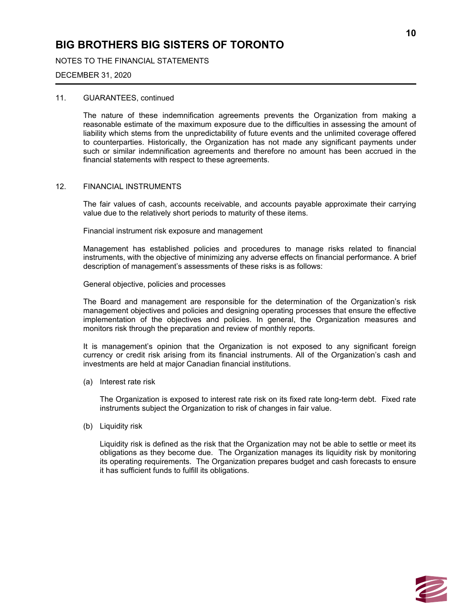NOTES TO THE FINANCIAL STATEMENTS

## DECEMBER 31, 2020

## 11. GUARANTEES, continued

The nature of these indemnification agreements prevents the Organization from making a reasonable estimate of the maximum exposure due to the difficulties in assessing the amount of liability which stems from the unpredictability of future events and the unlimited coverage offered to counterparties. Historically, the Organization has not made any significant payments under such or similar indemnification agreements and therefore no amount has been accrued in the financial statements with respect to these agreements.

### 12. FINANCIAL INSTRUMENTS

The fair values of cash, accounts receivable, and accounts payable approximate their carrying value due to the relatively short periods to maturity of these items.

Financial instrument risk exposure and management

Management has established policies and procedures to manage risks related to financial instruments, with the objective of minimizing any adverse effects on financial performance. A brief description of management's assessments of these risks is as follows:

General objective, policies and processes

The Board and management are responsible for the determination of the Organization's risk management objectives and policies and designing operating processes that ensure the effective implementation of the objectives and policies. In general, the Organization measures and monitors risk through the preparation and review of monthly reports.

It is management's opinion that the Organization is not exposed to any significant foreign currency or credit risk arising from its financial instruments. All of the Organization's cash and investments are held at major Canadian financial institutions.

(a) Interest rate risk

The Organization is exposed to interest rate risk on its fixed rate long-term debt. Fixed rate instruments subject the Organization to risk of changes in fair value.

(b) Liquidity risk

Liquidity risk is defined as the risk that the Organization may not be able to settle or meet its obligations as they become due. The Organization manages its liquidity risk by monitoring its operating requirements. The Organization prepares budget and cash forecasts to ensure it has sufficient funds to fulfill its obligations.